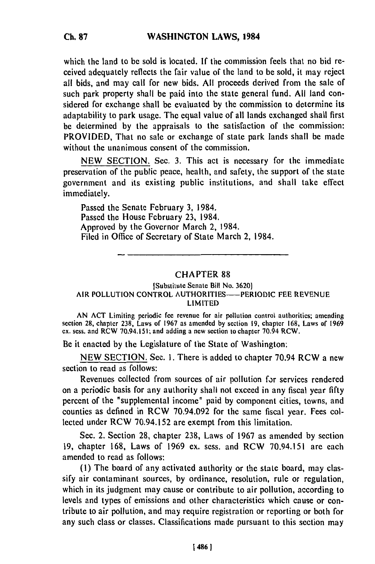which the land to be sold is located. **If** the commission feels that no bid received adequately reflects the fair value of the land to be sold, it may reject all bids, and may call for new bids. **All** proceeds derived from the sale of such park property shall be paid into the state general fund. **All** land considered for exchange shall be evaluated by the commission to determine its adaptability to park usage. The equal value of all lands exchanged shall first be determined by the appraisals to the satisfaction of the commission: PROVIDED, That no sale or exchange of state park lands shall be made without the unanimous consent of the commission.

NEW SECTION. Sec. 3. This act is necessary for the immediate preservation of the public peace, health, and safety, the support of the state government and its existing public institutions, and shall take effect immediately.

Passed the Senate February **3,** 1984. Passed the House February **23,** 1984. Approved by the Governor March 2, 1984. Filed in Office of Secretary of State March 2, 1984.

## CHAPTER 88

## [Substitute Senate Bill **No. 3620]** AIR **POLLUTION** CONTROL AUTHORITIES-PERIODIC **FEE REVENUE** LIMITED

**AN ACT** Limiting periodic fee revenue for air pollution control authorities; amending section **28,** chapter **238,** Laws of **1967** as amended **by** section **19,** chapter **168,** Laws of **1969 ex.** sess. and RCW 70.94.151; and adding a new section to chapter 70.94 RCW.

Be it enacted **by** the Legislature of the State of Washington:

**NEW SECTION.** Sec. **1.** There is added to chapter 70.94 RCW a new section to read as follows:

Revenues collected from sources of air pollution for services rendered on a periodic basis for any authority shall not exceed in any fiscal year **fifty** percent of the "supplemental income" paid **by** component cities, towns, and counties as defined in RCW **70.94.092** for the same fiscal year. Fees collected under RCW **70.94.152** are exempt from this limitation.

Sec. 2. Section **28,** chapter **238,** Laws of **1967** as amended **by** section **19,** chapter **168,** Laws of **1969 ex.** sess. and RCW **70.94.151** are each amended to read as follows:

**(i)** The board of any activated authority or **the** state board, may classify air contaminant sources, **by** ordinance, resolution, rule or regulation, which in its judgment may cause or contribute to air pollution, according to levels and types of emissions and other characteristics which cause or contribute to air pollution, and may require registration or reporting or both for any such class or classes. Classifications made pursuant to this section may